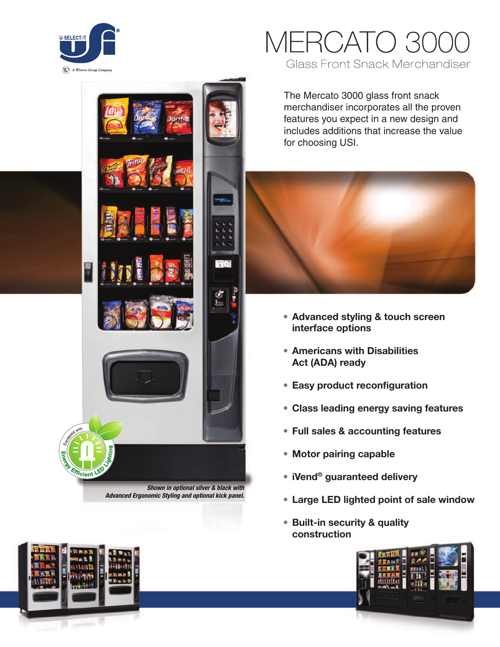



The Mercato 3000 glass front snack merchandiser incorporates all the proven features you expect in a new design and includes additions that increase the value for choosing USI.



- **• Advanced styling & touch screen interface options**
- **• Americans with Disabilities Act (ADA) ready**
- **• Easy product reconfiguration**
- **• Class leading energy saving features**
- **• Full sales & accounting features**
- **• Motor pairing capable**
- **• iVend® guaranteed delivery**
- **• Large LED lighted point of sale window**
- **• Built-in security & quality construction**







*Shown in optional silver & black with Advanced Ergonomic Styling and optional kick panel.*